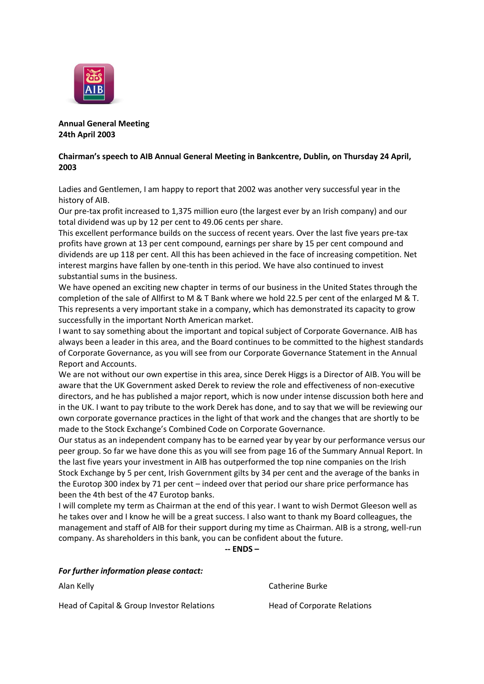

**Annual General Meeting 24th April 2003**

## **Chairman's speech to AIB Annual General Meeting in Bankcentre, Dublin, on Thursday 24 April, 2003**

Ladies and Gentlemen, I am happy to report that 2002 was another very successful year in the history of AIB.

Our pre-tax profit increased to 1,375 million euro (the largest ever by an Irish company) and our total dividend was up by 12 per cent to 49.06 cents per share.

This excellent performance builds on the success of recent years. Over the last five years pre-tax profits have grown at 13 per cent compound, earnings per share by 15 per cent compound and dividends are up 118 per cent. All this has been achieved in the face of increasing competition. Net interest margins have fallen by one-tenth in this period. We have also continued to invest substantial sums in the business.

We have opened an exciting new chapter in terms of our business in the United States through the completion of the sale of Allfirst to M & T Bank where we hold 22.5 per cent of the enlarged M & T. This represents a very important stake in a company, which has demonstrated its capacity to grow successfully in the important North American market.

I want to say something about the important and topical subject of Corporate Governance. AIB has always been a leader in this area, and the Board continues to be committed to the highest standards of Corporate Governance, as you will see from our Corporate Governance Statement in the Annual Report and Accounts.

We are not without our own expertise in this area, since Derek Higgs is a Director of AIB. You will be aware that the UK Government asked Derek to review the role and effectiveness of non-executive directors, and he has published a major report, which is now under intense discussion both here and in the UK. I want to pay tribute to the work Derek has done, and to say that we will be reviewing our own corporate governance practices in the light of that work and the changes that are shortly to be made to the Stock Exchange's Combined Code on Corporate Governance.

Our status as an independent company has to be earned year by year by our performance versus our peer group. So far we have done this as you will see from page 16 of the Summary Annual Report. In the last five years your investment in AIB has outperformed the top nine companies on the Irish Stock Exchange by 5 per cent, Irish Government gilts by 34 per cent and the average of the banks in the Eurotop 300 index by 71 per cent – indeed over that period our share price performance has been the 4th best of the 47 Eurotop banks.

I will complete my term as Chairman at the end of this year. I want to wish Dermot Gleeson well as he takes over and I know he will be a great success. I also want to thank my Board colleagues, the management and staff of AIB for their support during my time as Chairman. AIB is a strong, well-run company. As shareholders in this bank, you can be confident about the future.

**-- ENDS –**

| For further information please contact:    |                             |
|--------------------------------------------|-----------------------------|
| Alan Kelly                                 | Catherine Burke             |
| Head of Capital & Group Investor Relations | Head of Corporate Relations |